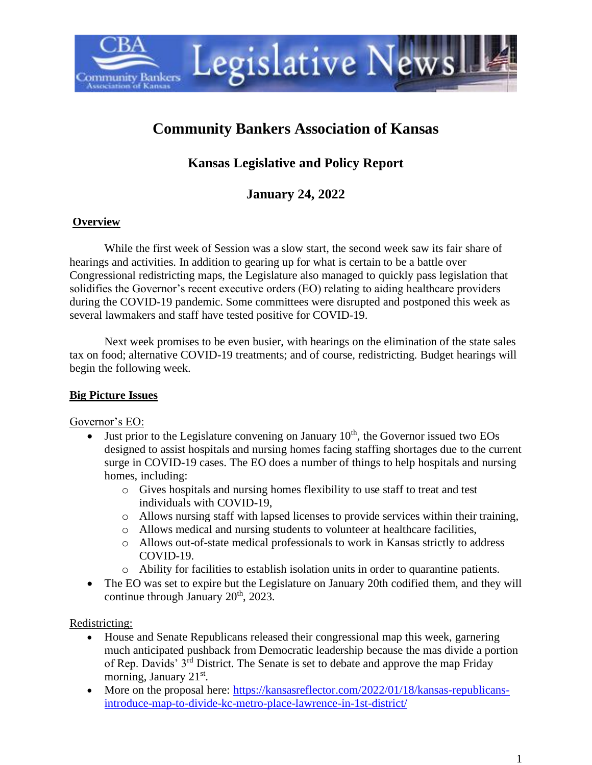

# **Community Bankers Association of Kansas**

## **Kansas Legislative and Policy Report**

## **January 24, 2022**

#### **Overview**

While the first week of Session was a slow start, the second week saw its fair share of hearings and activities. In addition to gearing up for what is certain to be a battle over Congressional redistricting maps, the Legislature also managed to quickly pass legislation that solidifies the Governor's recent executive orders (EO) relating to aiding healthcare providers during the COVID-19 pandemic. Some committees were disrupted and postponed this week as several lawmakers and staff have tested positive for COVID-19.

Next week promises to be even busier, with hearings on the elimination of the state sales tax on food; alternative COVID-19 treatments; and of course, redistricting. Budget hearings will begin the following week.

#### **Big Picture Issues**

#### Governor's EO:

- Just prior to the Legislature convening on January  $10<sup>th</sup>$ , the Governor issued two EOs designed to assist hospitals and nursing homes facing staffing shortages due to the current surge in COVID-19 cases. The EO does a number of things to help hospitals and nursing homes, including:
	- o Gives hospitals and nursing homes flexibility to use staff to treat and test individuals with COVID-19,
	- o Allows nursing staff with lapsed licenses to provide services within their training,
	- o Allows medical and nursing students to volunteer at healthcare facilities,
	- o Allows out-of-state medical professionals to work in Kansas strictly to address COVID-19.
	- $\circ$  Ability for facilities to establish isolation units in order to quarantine patients.
- The EO was set to expire but the Legislature on January 20th codified them, and they will continue through January  $20<sup>th</sup>$ ,  $2023$ .

### Redistricting:

- House and Senate Republicans released their congressional map this week, garnering much anticipated pushback from Democratic leadership because the mas divide a portion of Rep. Davids' 3rd District. The Senate is set to debate and approve the map Friday morning, January 21<sup>st</sup>.
- More on the proposal here: [https://kansasreflector.com/2022/01/18/kansas-republicans](https://kansasreflector.com/2022/01/18/kansas-republicans-introduce-map-to-divide-kc-metro-place-lawrence-in-1st-district/)[introduce-map-to-divide-kc-metro-place-lawrence-in-1st-district/](https://kansasreflector.com/2022/01/18/kansas-republicans-introduce-map-to-divide-kc-metro-place-lawrence-in-1st-district/)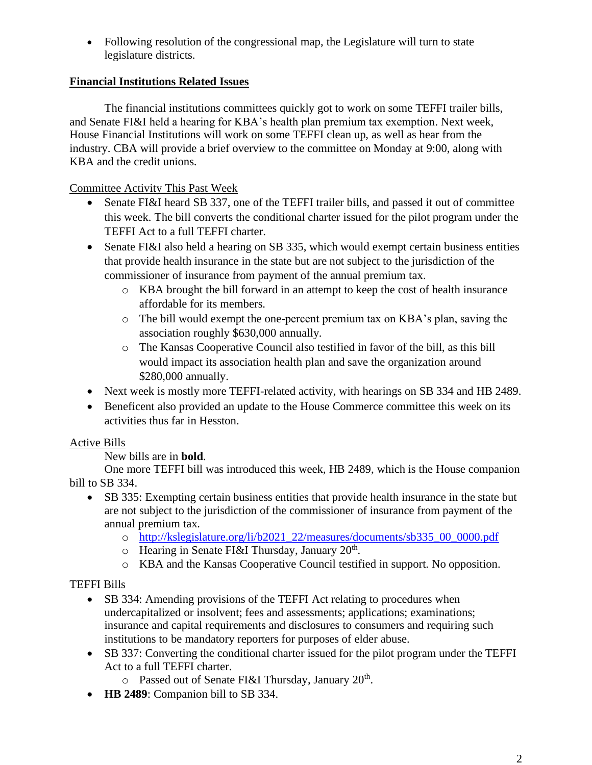• Following resolution of the congressional map, the Legislature will turn to state legislature districts.

### **Financial Institutions Related Issues**

The financial institutions committees quickly got to work on some TEFFI trailer bills, and Senate FI&I held a hearing for KBA's health plan premium tax exemption. Next week, House Financial Institutions will work on some TEFFI clean up, as well as hear from the industry. CBA will provide a brief overview to the committee on Monday at 9:00, along with KBA and the credit unions.

## Committee Activity This Past Week

- Senate FI&I heard SB 337, one of the TEFFI trailer bills, and passed it out of committee this week. The bill converts the conditional charter issued for the pilot program under the TEFFI Act to a full TEFFI charter.
- Senate FI&I also held a hearing on SB 335, which would exempt certain business entities that provide health insurance in the state but are not subject to the jurisdiction of the commissioner of insurance from payment of the annual premium tax.
	- o KBA brought the bill forward in an attempt to keep the cost of health insurance affordable for its members.
	- o The bill would exempt the one-percent premium tax on KBA's plan, saving the association roughly \$630,000 annually.
	- o The Kansas Cooperative Council also testified in favor of the bill, as this bill would impact its association health plan and save the organization around \$280,000 annually.
- Next week is mostly more TEFFI-related activity, with hearings on SB 334 and HB 2489.
- Beneficent also provided an update to the House Commerce committee this week on its activities thus far in Hesston.

## Active Bills

New bills are in **bold**.

One more TEFFI bill was introduced this week, HB 2489, which is the House companion bill to SB 334.

- SB 335: Exempting certain business entities that provide health insurance in the state but are not subject to the jurisdiction of the commissioner of insurance from payment of the annual premium tax.
	- o [http://kslegislature.org/li/b2021\\_22/measures/documents/sb335\\_00\\_0000.pdf](http://kslegislature.org/li/b2021_22/measures/documents/sb335_00_0000.pdf)
	- $\circ$  Hearing in Senate FI&I Thursday, January 20<sup>th</sup>.
	- o KBA and the Kansas Cooperative Council testified in support. No opposition.

## TEFFI Bills

- SB 334: Amending provisions of the TEFFI Act relating to procedures when undercapitalized or insolvent; fees and assessments; applications; examinations; insurance and capital requirements and disclosures to consumers and requiring such institutions to be mandatory reporters for purposes of elder abuse.
- SB 337: Converting the conditional charter issued for the pilot program under the TEFFI Act to a full TEFFI charter.
	- $\circ$  Passed out of Senate FI&I Thursday, January 20<sup>th</sup>.
- **HB 2489**: Companion bill to SB 334.